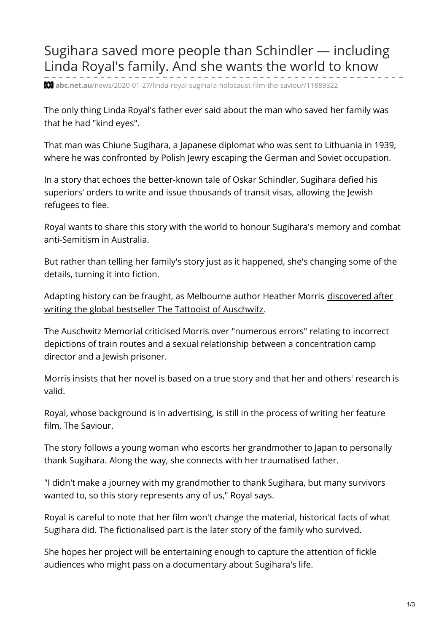## Sugihara saved more people than Schindler — including Linda Royal's family. And she wants the world to know

**abc.net.au**[/news/2020-01-27/linda-royal-sugihara-holocaust-film-the-saviour/11889322](https://www.abc.net.au/news/2020-01-27/linda-royal-sugihara-holocaust-film-the-saviour/11889322?pfmredir=sm§ion=business)

The only thing Linda Royal's father ever said about the man who saved her family was that he had "kind eyes".

That man was Chiune Sugihara, a Japanese diplomat who was sent to Lithuania in 1939, where he was confronted by Polish Jewry escaping the German and Soviet occupation.

In a story that echoes the better-known tale of Oskar Schindler, Sugihara defied his superiors' orders to write and issue thousands of transit visas, allowing the Jewish refugees to flee.

Royal wants to share this story with the world to honour Sugihara's memory and combat anti-Semitism in Australia.

But rather than telling her family's story just as it happened, she's changing some of the details, turning it into fiction.

Adapting history can be fraught, as [Melbourne](https://www.abc.net.au/news/2019-09-23/tattooist-of-auschwitz-author-defends-book-on-eve-of-sequel/11527252) author Heather Morris discovered after writing the global bestseller The Tattooist of Auschwitz.

The Auschwitz Memorial criticised Morris over "numerous errors" relating to incorrect depictions of train routes and a sexual relationship between a concentration camp director and a Jewish prisoner.

Morris insists that her novel is based on a true story and that her and others' research is valid.

Royal, whose background is in advertising, is still in the process of writing her feature film, The Saviour.

The story follows a young woman who escorts her grandmother to Japan to personally thank Sugihara. Along the way, she connects with her traumatised father.

"I didn't make a journey with my grandmother to thank Sugihara, but many survivors wanted to, so this story represents any of us," Royal says.

Royal is careful to note that her film won't change the material, historical facts of what Sugihara did. The fictionalised part is the later story of the family who survived.

She hopes her project will be entertaining enough to capture the attention of fickle audiences who might pass on a documentary about Sugihara's life.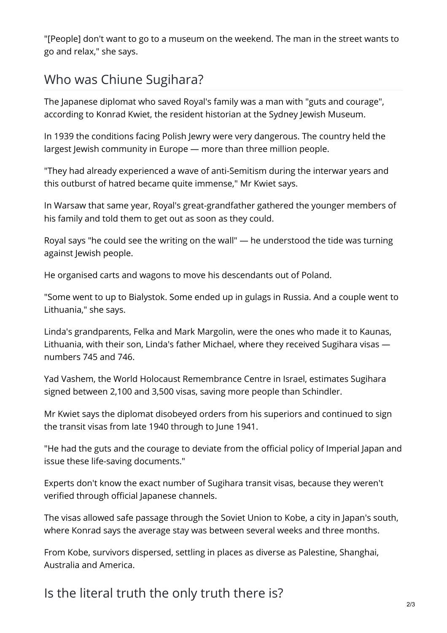"[People] don't want to go to a museum on the weekend. The man in the street wants to go and relax," she says.

## Who was Chiune Sugihara?

The Japanese diplomat who saved Royal's family was a man with "guts and courage", according to Konrad Kwiet, the resident historian at the Sydney Jewish Museum.

In 1939 the conditions facing Polish Jewry were very dangerous. The country held the largest Jewish community in Europe — more than three million people.

"They had already experienced a wave of anti-Semitism during the interwar years and this outburst of hatred became quite immense," Mr Kwiet says.

In Warsaw that same year, Royal's great-grandfather gathered the younger members of his family and told them to get out as soon as they could.

Royal says "he could see the writing on the wall" — he understood the tide was turning against Jewish people.

He organised carts and wagons to move his descendants out of Poland.

"Some went to up to Bialystok. Some ended up in gulags in Russia. And a couple went to Lithuania," she says.

Linda's grandparents, Felka and Mark Margolin, were the ones who made it to Kaunas, Lithuania, with their son, Linda's father Michael, where they received Sugihara visas numbers 745 and 746.

Yad Vashem, the World Holocaust Remembrance Centre in Israel, estimates Sugihara signed between 2,100 and 3,500 visas, saving more people than Schindler.

Mr Kwiet says the diplomat disobeyed orders from his superiors and continued to sign the transit visas from late 1940 through to June 1941.

"He had the guts and the courage to deviate from the official policy of Imperial Japan and issue these life-saving documents."

Experts don't know the exact number of Sugihara transit visas, because they weren't verified through official Japanese channels.

The visas allowed safe passage through the Soviet Union to Kobe, a city in Japan's south, where Konrad says the average stay was between several weeks and three months.

From Kobe, survivors dispersed, settling in places as diverse as Palestine, Shanghai, Australia and America.

Is the literal truth the only truth there is?